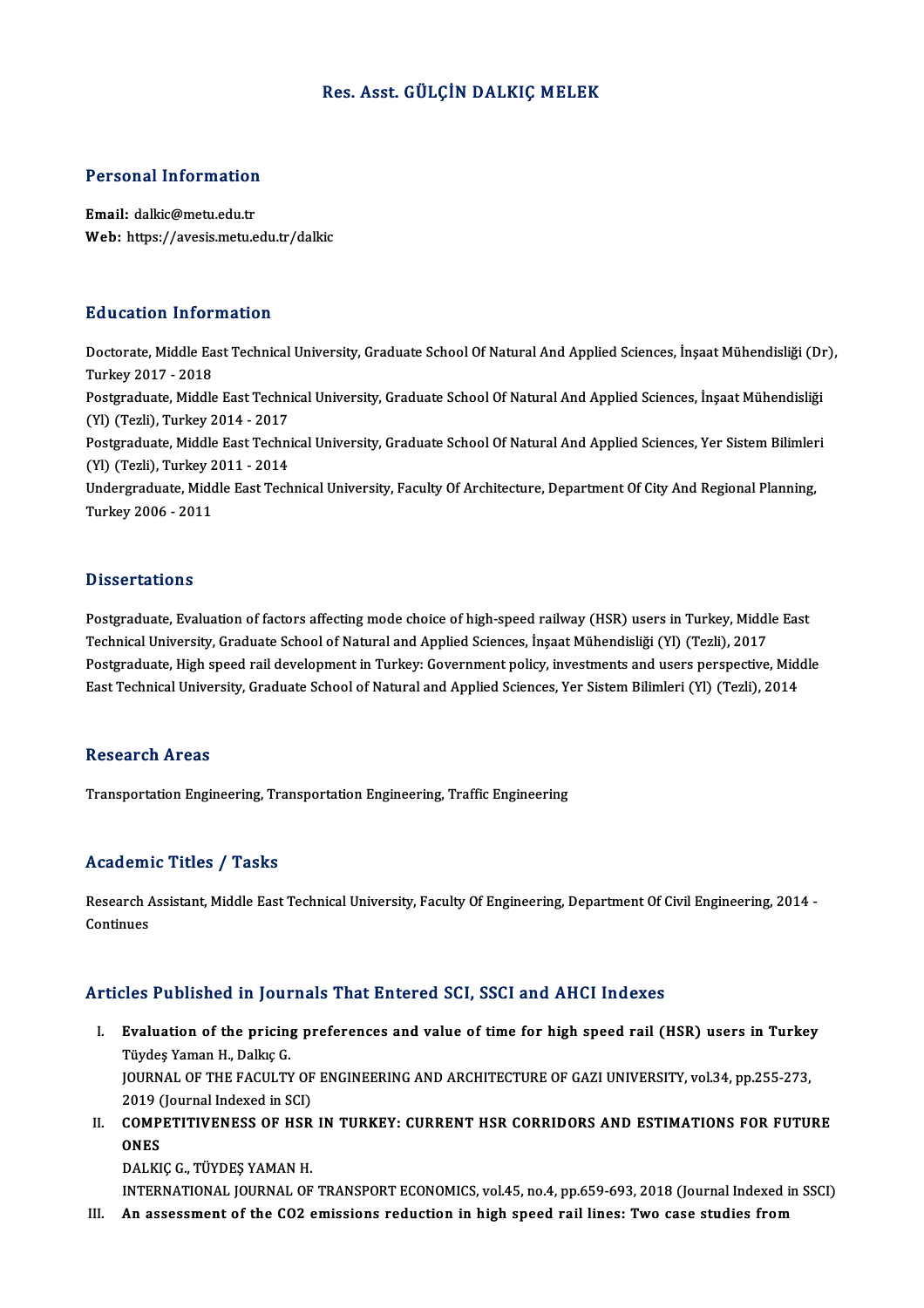# Res. Asst. GÜLÇİN DALKIÇ MELEK

# Personal Information

Personal Information<br>Email: dalkic@metu.edu.tr<br>Web: https://avesis.metu.e Email: dalkic@metu.edu.tr<br>Web: https://avesis.metu.edu.tr/dalkic

## Education Information

**Education Information**<br>Doctorate, Middle East Technical University, Graduate School Of Natural And Applied Sciences, İnşaat Mühendisliği (Dr),<br>Turkey 2017, 2019 Turkey<br>Doctorate, Middle Ea<br>Turkey 2017 - 2018<br>Postareduate, Middle Doctorate, Middle East Technical University, Graduate School Of Natural And Applied Sciences, İnşaat Mühendisliği (Dr<br>Turkey 2017 - 2018<br>Postgraduate, Middle East Technical University, Graduate School Of Natural And Applie Turkey 2017 - 2018<br>Postgraduate, Middle East Techni<br>(Yl) (Tezli), Turkey 2014 - 2017<br>Postgraduate, Middle East Techni Postgraduate, Middle East Technical University, Graduate School Of Natural And Applied Sciences, İnşaat Mühendisliği<br>(Yl) (Tezli), Turkey 2014 - 2017<br>Postgraduate, Middle East Technical University, Graduate School Of Natur (Yl) (Tezli), Turkey 2014 - 2017<br>Postgraduate, Middle East Techni<br>(Yl) (Tezli), Turkey 2011 - 2014<br>Undergraduate Middle Fest Tech Postgraduate, Middle East Technical University, Graduate School Of Natural And Applied Sciences, Yer Sistem Bilimler<br>(Yl) (Tezli), Turkey 2011 - 2014<br>Undergraduate, Middle East Technical University, Faculty Of Architecture (Yl) (Tezli), Turkey 2011 - 2014<br>Undergraduate, Middle East Technical University, Faculty Of Architecture, Department Of City And Regional Planning,<br>Turkey 2006 - 2011

### **Dissertations**

Dissertations<br>Postgraduate, Evaluation of factors affecting mode choice of high-speed railway (HSR) users in Turkey, Middle East<br>Technical University Creduate School of Natural and Annlied Sciences, Inseat Mühendieliči (VI D'isser tarrens<br>Postgraduate, Evaluation of factors affecting mode choice of high-speed railway (HSR) users in Turkey, Middl<br>Technical University, Graduate School of Natural and Applied Sciences, İnşaat Mühendisliği (Yl) ( Technical University, Graduate School of Natural and Applied Sciences, İnşaat Mühendisliği (Yl) (Tezli), 2017<br>Postgraduate, High speed rail development in Turkey: Government policy, investments and users perspective, Middl East Technical University, Graduate School of Natural and Applied Sciences, Yer Sistem Bilimleri (Yl) (Tezli), 2014

### **Research Areas**

Transportation Engineering, Transportation Engineering, Traffic Engineering

### Academic Titles / Tasks

Academic Titles / Tasks<br>Research Assistant, Middle East Technical University, Faculty Of Engineering, Department Of Civil Engineering, 2014 -<br>Centinues Research A<br>Continues Articles Published in Journals That Entered SCI, SSCI and AHCI Indexes

- rticles Published in Journals That Entered SCI, SSCI and AHCI Indexes<br>I. Evaluation of the pricing preferences and value of time for high speed rail (HSR) users in Turkey<br>Tüydes Yaman H. Dallue C Türkisten H. Journal<br>Tüydeş Yaman H., Dalkıç G.<br>JOUPNAL OF TUE FACULTY Evaluation of the pricing preferences and value of time for high speed rail (HSR) users in Turkey<br>Tüydeş Yaman H., Dalkıç G.<br>JOURNAL OF THE FACULTY OF ENGINEERING AND ARCHITECTURE OF GAZI UNIVERSITY, vol.34, pp.255-273,<br>20 Tüydeş Yaman H., Dalkıç G.<br>JOURNAL OF THE FACULTY OF<br>2019 (Journal Indexed in SCI)<br>COMBETITIVENESS OF HSP JOURNAL OF THE FACULTY OF ENGINEERING AND ARCHITECTURE OF GAZI UNIVERSITY, vol.34, pp.255-273,<br>2019 (Journal Indexed in SCI)<br>II. COMPETITIVENESS OF HSR IN TURKEY: CURRENT HSR CORRIDORS AND ESTIMATIONS FOR FUTURE<br>ONES
- 2019 (<br>COMP)<br>ONES COMPETITIVENESS OF HSR<br>ONES<br>DALKIÇ G., TÜYDEŞ YAMAN H.<br>INTERNATIONAL JOURNAL OF ONES<br>DALKIÇ G., TÜYDEŞ YAMAN H.<br>INTERNATIONAL JOURNAL OF TRANSPORT ECONOMICS, vol.45, no.4, pp.659-693, 2018 (Journal Indexed in SSCI)

III. An assessment of the CO2 emissions reduction in high speed rail lines: Two case studies from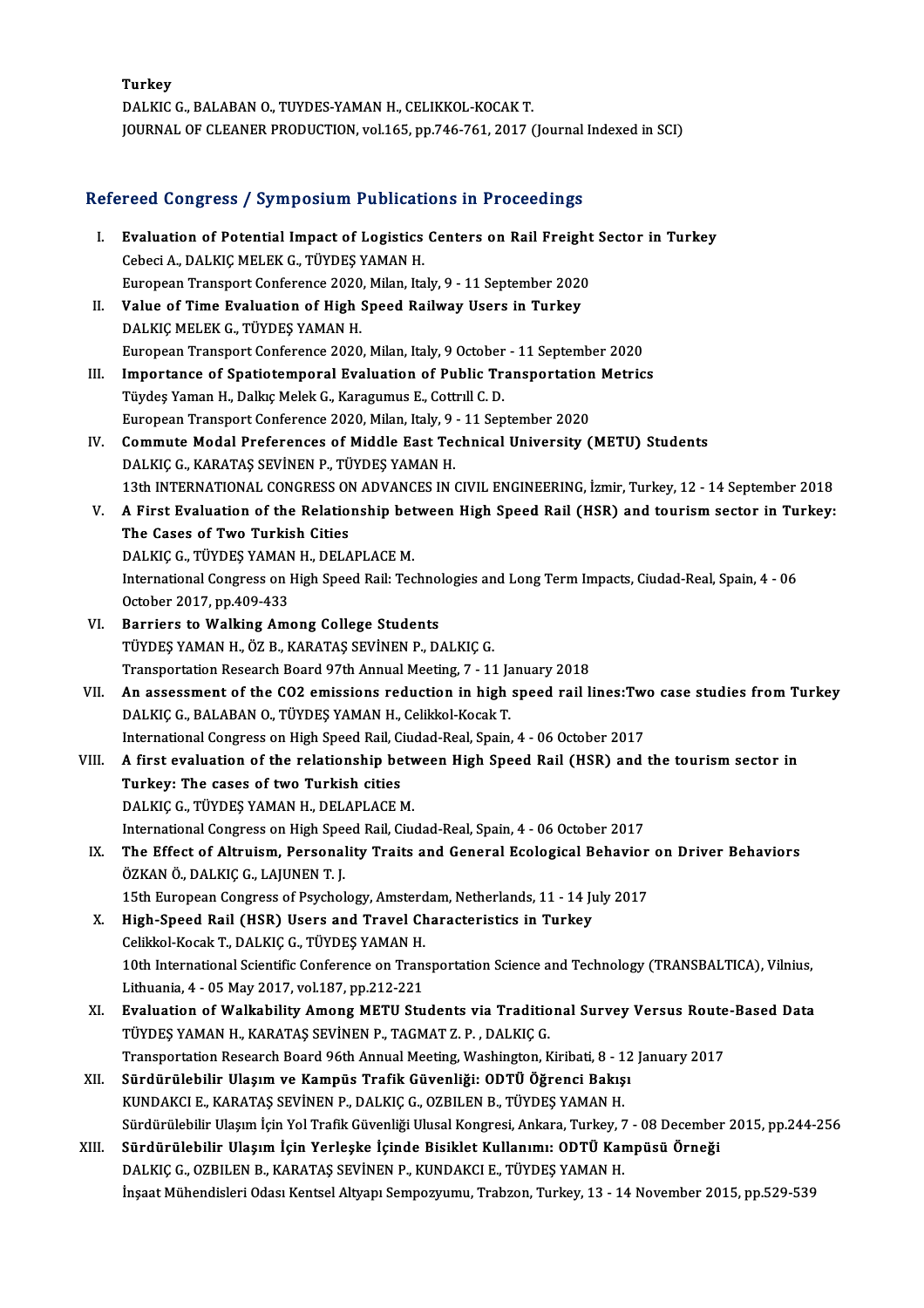Turkey DALKIC G., BALABAN O., TUYDES-YAMAN H., CELIKKOL-KOCAK T. JOURNAL OF CLEANER PRODUCTION, vol.165, pp.746-761, 2017 (Journal Indexed in SCI)

# JOOKNAL OF CLEANER PRODUCTION, VOLT05, pp.746-761, 2017 (Journal)<br>Refereed Congress / Symposium Publications in Proceedings

| Refereed Congress / Symposium Publications in Proceedings |                                                                                                                                       |
|-----------------------------------------------------------|---------------------------------------------------------------------------------------------------------------------------------------|
| L.                                                        | Evaluation of Potential Impact of Logistics Centers on Rail Freight Sector in Turkey<br>Cebeci A., DALKIÇ MELEK G., TÜYDEŞ YAMAN H.   |
|                                                           | European Transport Conference 2020, Milan, Italy, 9 - 11 September 2020                                                               |
| П.                                                        | Value of Time Evaluation of High Speed Railway Users in Turkey                                                                        |
|                                                           | DALKIÇ MELEK G, TÜYDEŞ YAMAN H.                                                                                                       |
|                                                           | European Transport Conference 2020, Milan, Italy, 9 October - 11 September 2020                                                       |
| III.                                                      | Importance of Spatiotemporal Evaluation of Public Transportation Metrics                                                              |
|                                                           | Tüydeş Yaman H., Dalkıç Melek G., Karagumus E., Cottrıll C. D.                                                                        |
|                                                           | European Transport Conference 2020, Milan, Italy, 9 - 11 September 2020                                                               |
| IV.                                                       | Commute Modal Preferences of Middle East Technical University (METU) Students                                                         |
|                                                           | DALKIÇ G., KARATAŞ SEVİNEN P., TÜYDEŞ YAMAN H.                                                                                        |
|                                                           | 13th INTERNATIONAL CONGRESS ON ADVANCES IN CIVIL ENGINEERING, İzmir, Turkey, 12 - 14 September 2018                                   |
| V.                                                        | A First Evaluation of the Relationship between High Speed Rail (HSR) and tourism sector in Turkey:<br>The Cases of Two Turkish Cities |
|                                                           | DALKIÇ G., TÜYDEŞ YAMAN H., DELAPLACE M.                                                                                              |
|                                                           | International Congress on High Speed Rail: Technologies and Long Term Impacts, Ciudad-Real, Spain, 4 - 06                             |
|                                                           | October 2017, pp 409-433                                                                                                              |
| VI.                                                       | <b>Barriers to Walking Among College Students</b>                                                                                     |
|                                                           | TÜYDEŞ YAMAN H., ÖZ B., KARATAŞ SEVİNEN P., DALKIÇ G.                                                                                 |
|                                                           | Transportation Research Board 97th Annual Meeting, 7 - 11 January 2018                                                                |
| VII.                                                      | An assessment of the CO2 emissions reduction in high speed rail lines: Two case studies from Turkey                                   |
|                                                           | DALKIÇ G., BALABAN O., TÜYDEŞ YAMAN H., Celikkol-Kocak T.                                                                             |
|                                                           | International Congress on High Speed Rail, Ciudad-Real, Spain, 4 - 06 October 2017                                                    |
| VIII.                                                     | A first evaluation of the relationship between High Speed Rail (HSR) and the tourism sector in                                        |
|                                                           | Turkey: The cases of two Turkish cities                                                                                               |
|                                                           | DALKIÇ G., TÜYDEŞ YAMAN H., DELAPLACE M.                                                                                              |
|                                                           | International Congress on High Speed Rail, Ciudad-Real, Spain, 4 - 06 October 2017                                                    |
| IX.                                                       | The Effect of Altruism, Personality Traits and General Ecological Behavior on Driver Behaviors                                        |
|                                                           | ÖZKAN Ö., DALKIÇ G., LAJUNEN T. J.                                                                                                    |
|                                                           | 15th European Congress of Psychology, Amsterdam, Netherlands, 11 - 14 July 2017                                                       |
| Х.                                                        | High-Speed Rail (HSR) Users and Travel Characteristics in Turkey                                                                      |
|                                                           | Celikkol-Kocak T., DALKIÇ G., TÜYDEŞ YAMAN H.                                                                                         |
|                                                           | 10th International Scientific Conference on Transportation Science and Technology (TRANSBALTICA), Vilnius,                            |
|                                                           | Lithuania, 4 - 05 May 2017, vol 187, pp 212-221                                                                                       |
| XI.                                                       | Evaluation of Walkability Among METU Students via Traditional Survey Versus Route-Based Data                                          |
|                                                           | TÜYDEŞ YAMAN H., KARATAŞ SEVİNEN P., TAGMAT Z. P., DALKIÇ G.                                                                          |
|                                                           | Transportation Research Board 96th Annual Meeting, Washington, Kiribati, 8 - 12 January 2017                                          |
| XII.                                                      | Sürdürülebilir Ulaşım ve Kampüs Trafik Güvenliği: ODTÜ Öğrenci Bakışı                                                                 |
|                                                           | KUNDAKCI E., KARATAŞ SEVİNEN P., DALKIÇ G., OZBILEN B., TÜYDEŞ YAMAN H.                                                               |
|                                                           | Sürdürülebilir Ulaşım İçin Yol Trafik Güvenliği Ulusal Kongresi, Ankara, Turkey, 7 - 08 December 2015, pp.244-256                     |
| XIII.                                                     | Sürdürülebilir Ulaşım İçin Yerleşke İçinde Bisiklet Kullanımı: ODTÜ Kampüsü Örneği                                                    |
|                                                           | DALKIÇ G., OZBILEN B., KARATAŞ SEVİNEN P., KUNDAKCI E., TÜYDEŞ YAMAN H.                                                               |
|                                                           | İnşaat Mühendisleri Odası Kentsel Altyapı Sempozyumu, Trabzon, Turkey, 13 - 14 November 2015, pp.529-539                              |